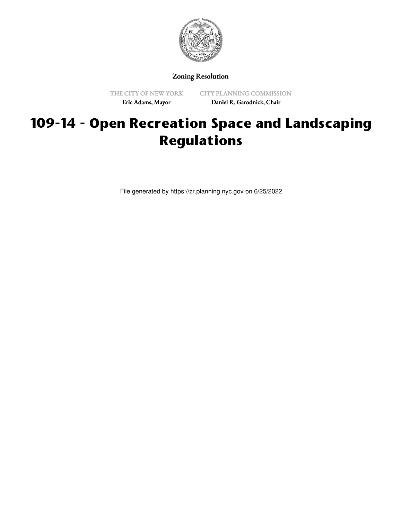

Zoning Resolution

THE CITY OF NEW YORK Eric Adams, Mayor

CITY PLANNING COMMISSION Daniel R. Garodnick, Chair

## **109-14 - Open Recreation Space and Landscaping Regulations**

File generated by https://zr.planning.nyc.gov on 6/25/2022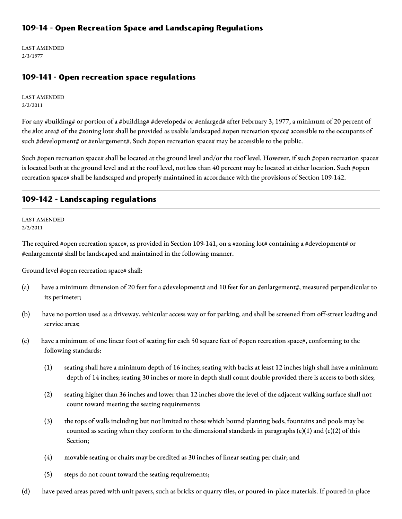LAST AMENDED 2/3/1977

## **109-141 - Open recreation space regulations**

LAST AMENDED 2/2/2011

For any #building# or portion of a #building# #developed# or #enlarged# after February 3, 1977, a minimum of 20 percent of the #lot area# of the #zoning lot# shall be provided as usable landscaped #open recreation space# accessible to the occupants of such #development# or #enlargement#. Such #open recreation space# may be accessible to the public.

Such #open recreation space# shall be located at the ground level and/or the roof level. However, if such #open recreation space# is located both at the ground level and at the roof level, not less than 40 percent may be located at either location. Such #open recreation space# shall be landscaped and properly maintained in accordance with the provisions of Section 109-142.

## **109-142 - Landscaping regulations**

LAST AMENDED 2/2/2011

The required #open recreation space#, as provided in Section 109-141, on a #zoning lot# containing a #development# or #enlargement# shall be landscaped and maintained in the following manner.

Ground level #open recreation space# shall:

- (a) have a minimum dimension of 20 feet for a #development# and 10 feet for an #enlargement#, measured perpendicular to its perimeter;
- (b) have no portion used as a driveway, vehicular access way or for parking, and shall be screened from off-street loading and service areas;
- (c) have a minimum of one linear foot of seating for each 50 square feet of #open recreation space#, conforming to the following standards:
	- (1) seating shall have a minimum depth of 16 inches; seating with backs at least 12 inches high shall have a minimum depth of 14 inches; seating 30 inches or more in depth shall count double provided there is access to both sides;
	- (2) seating higher than 36 inches and lower than 12 inches above the level of the adjacent walking surface shall not count toward meeting the seating requirements;
	- (3) the tops of walls including but not limited to those which bound planting beds, fountains and pools may be counted as seating when they conform to the dimensional standards in paragraphs  $(c)(1)$  and  $(c)(2)$  of this Section;
	- (4) movable seating or chairs may be credited as 30 inches of linear seating per chair; and
	- (5) steps do not count toward the seating requirements;
- (d) have paved areas paved with unit pavers, such as bricks or quarry tiles, or poured-in-place materials. If poured-in-place